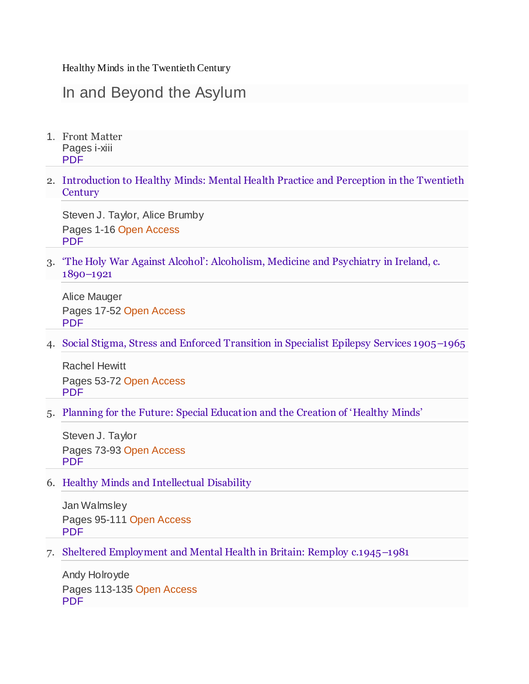Healthy Minds in the Twentieth Century

## In and Beyond the Asylum

- 1. Front Matter Pages i-xiii [PDF](https://db.vista.gov.vn:2093/content/pdf/bfm%3A978-3-030-27275-3%2F1.pdf)
- 2. [Introduction to Healthy Minds: Mental Health Practice and Perception in the Twentieth](https://db.vista.gov.vn:2093/chapter/10.1007/978-3-030-27275-3_1)  **[Century](https://db.vista.gov.vn:2093/chapter/10.1007/978-3-030-27275-3_1)**

Steven J. Taylor, Alice Brumby Pages 1-16 Open Access [PDF](https://db.vista.gov.vn:2093/content/pdf/10.1007%2F978-3-030-27275-3_1.pdf)

3. ['The Holy War Against Alcohol': Alcoholism, Medicine and Psychiatry in Ireland, c.](https://db.vista.gov.vn:2093/chapter/10.1007/978-3-030-27275-3_2)  [1890](https://db.vista.gov.vn:2093/chapter/10.1007/978-3-030-27275-3_2)–1921

Alice Mauger Pages 17-52 Open Access [PDF](https://db.vista.gov.vn:2093/content/pdf/10.1007%2F978-3-030-27275-3_2.pdf)

4. [Social Stigma, Stress and Enforced Transition in Specialist Epilepsy Services 1905](https://db.vista.gov.vn:2093/chapter/10.1007/978-3-030-27275-3_3)–1965

Rachel Hewitt Pages 53-72 Open Access [PDF](https://db.vista.gov.vn:2093/content/pdf/10.1007%2F978-3-030-27275-3_3.pdf)

5. [Planning for the Future: Special Education and the Creation of 'Healthy Minds'](https://db.vista.gov.vn:2093/chapter/10.1007/978-3-030-27275-3_4)

Steven J. Taylor Pages 73-93 Open Access [PDF](https://db.vista.gov.vn:2093/content/pdf/10.1007%2F978-3-030-27275-3_4.pdf)

6. [Healthy Minds and Intellectual Disability](https://db.vista.gov.vn:2093/chapter/10.1007/978-3-030-27275-3_5)

Jan Walmsley Pages 95-111 Open Access [PDF](https://db.vista.gov.vn:2093/content/pdf/10.1007%2F978-3-030-27275-3_5.pdf)

7. [Sheltered Employment and Mental Health in Britain: Remploy c.1945](https://db.vista.gov.vn:2093/chapter/10.1007/978-3-030-27275-3_6)–1981

Andy Holroyde Pages 113-135 Open Access [PDF](https://db.vista.gov.vn:2093/content/pdf/10.1007%2F978-3-030-27275-3_6.pdf)